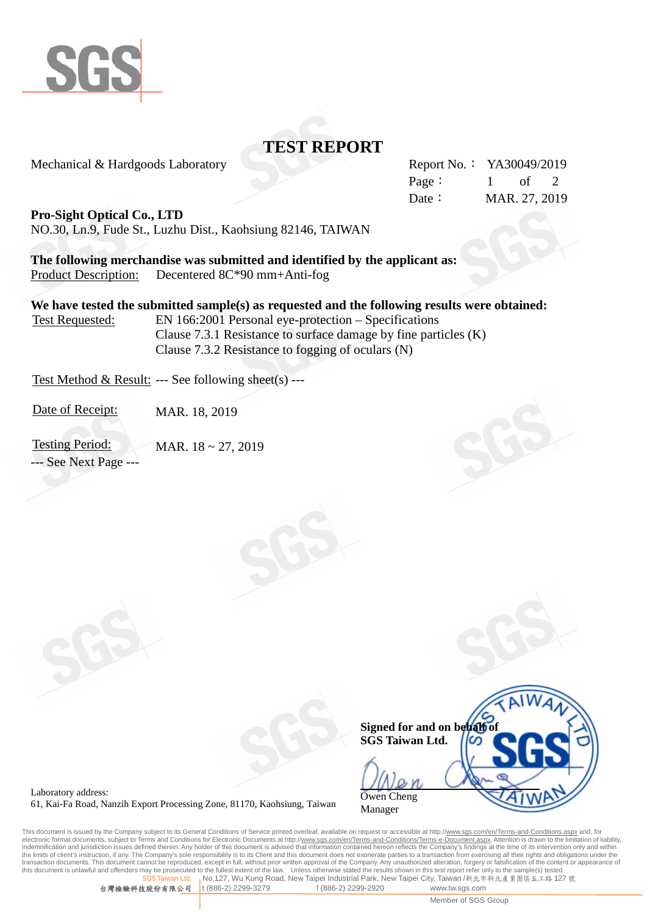

# **TEST REPORT**

Mechanical & Hardgoods Laboratory Report No.: YA30049/2019

Page:  $1$  of 2 Date: MAR. 27, 2019

**Pro-Sight Optical Co., LTD**

NO.30, Ln.9, Fude St., Luzhu Dist., Kaohsiung 82146, TAIWAN

**The following merchandise was submitted and identified by the applicant as:** Product Description: Decentered 8C\*90 mm+Anti-fog

**We have tested the submitted sample(s) as requested and the following results were obtained:** Test Requested: EN 166:2001 Personal eye-protection – Specifications

Clause 7.3.1 Resistance to surface damage by fine particles (K) Clause 7.3.2 Resistance to fogging of oculars (N)

Test Method & Result: --- See following sheet(s) ---

Date of Receipt: MAR. 18, 2019

Testing Period: MAR. 18 ~ 27, 2019 --- See Next Page ---



Laboratory address: 61, Kai-Fa Road, Nanzih Export Processing Zone, 81170, Kaohsiung, Taiwan

This document is issued by the Company subject to its General Conditions of Service printed overleaf, available on request or accessible at http://<u>www.sgs.com/en/Terms-and-Conditions.aspx</u> and, for<br>electronic format docum indemnification and jurisdiction issues defined therein. Any holder of this document is advised that information contained hereon reflects the Company's findings at the time of its intervention only and within<br>the limits o transaction documents. This document cannot be reproduced, except in full, without prior written approval of the Company. Any unauthorized alteration, forgery or falsification of the content or appearance of this document Unless otherwise stated the results shown in this test report refer only to the sample(s) tested **No.127, Wu Kung Road, New Taipei Industrial Park, New Taipei City, Taiwan /新北市新北產業園區五工路 127 號**<br>t (886-2) 2299-3279 f (886-2) 2299-2920 www.tw.sgs.com

台灣檢驗科技股份有限公司 t (886-2) 2299-3279 f (886-2) 2299-2920 www.tw.sgs.com

Member of SGS Group